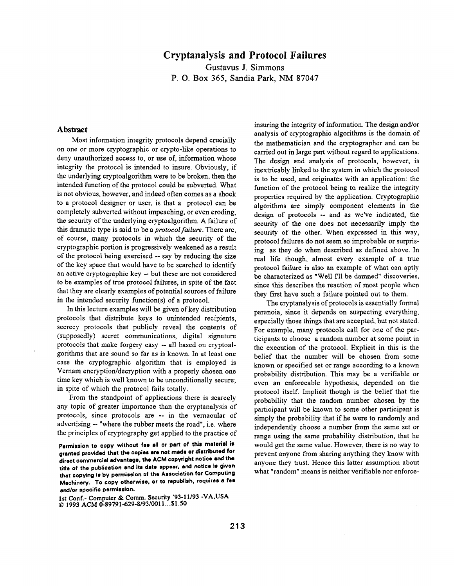## **Cryptanalysis and Protocol Failures**

**Gustavus ]. Simmons**  P. O. Box 365, Sandia Park, NM 87047

## Abstract

Most information integrity protocols depend crucially on one or more cryptographic or crypto-like operations to deny unauthorized access to, or use of, information whose integrity the protocol is intended to insure. Obviously, if the underlying cryptoalgorithm were to be broken, then the intended function of the protocol could be subverted. What is not obvious, however, and indeed often comes as a shock to a protocol designer or user, is that a protocol can be completely subverted without impeaching, or even eroding, the security of the underlying eryptoalgorithm. A failure of this dramatic type is said to be a *protocol failure.* There are, of course, many protocols in which the security of the cryptographic portion is progressively weakened as a result of the protocol being exercised -- say by reducing the size of the key space that would have to be searched to identify an active cryptographic key -- but these are not considered to be examples of true protocol failures, in spite of the fact that they are clearly examples of potential sources of failure in the intended security function(s) of a protocol.

tn this lecture examples will be given of key distribution protocols that distribute keys to unintended recipients, secrecy protocols that publicly reveal the contents of (supposedly) secret communications, digital signature protocols that make forgery easy -- all based on cryptoalgorithms that are sound so far as is known. In at least one case the cryptographic algorithm that is employed is Vernam encryption/decryption with a properly chosen one time key which is well known to be unconditionally secure; in spite of which the protocol fails totally.

From the standpoint of applications there is scarcely any topic of greater importance than the cryptanalysis of protocols, since protocols are -- in the vernacular of advertising -- "where the rubber meets the road", i.e. where the principles of cryptography get applied to the practice of

Permission to copy without fee all or part of this material is **granted provided thst the copies are not made or distributed for**  direct commercial advantage, the ACM copyright notice and the title **of the publication end its date appear, end notice ie given that copying is by permission of the Association for Computing Machinery. To copy otherwise, or to republish, requires a fee and/or specific permission.** 

1st Conf.- Computer & Comm. Security '93-11/93 -VA,USA © 1993 ACM 0-89791-629-8/93/001 l...Sl.50

insuring the integrity of information. The design and/or analysis of cryptographic algorithms is the domain of the mathematician and the cryptographer and can be carried out in large part without regard to applications. The design and analysis of protocols, however, is inextricably linked to the system in which the protocol is to be used, and originates with an application: the function of the protocol being to realize the integrity properties required by the application. Cryptographic algorithms are simply component elements in the design of protocols -- and as we've indicated, the security of the one does not necessarily imply the security of the other. When expressed in this way, protocol failures do not seem so improbable or surprising as they do when described as defined above. In real life though, almost every example of a true protocol failure is also an example of what can aptly be characterized as "Well I'II be damned" discoveries, since this describes the reaction of most people when they first have such a failure pointed out to them.

The cryptanalysis of protocols is essentially formal paranoia, since it depends on suspecting everything, especially those things that are accepted, but not stated. For example, many protocols call for one of the participants to choose a random number at some point in the execution of the protocol. Explicit in this is the belief that the number will be chosen from some known or specified set or range according to a known probability distribution. This may be a verifiable or even an enforceable hypothesis, depended on the protocol itself. Implicit though is the belief that the probability that the random number chosen by the participant will be known to some other participant is simply the probability that if he were to randomly and independently choose a number from the same set or range using the same probability distribution, that he would get the same value. However, there is no way to prevent anyone from sharing anything they know with anyone they trust. Hence this latter assumption about what "random" means is neither verifiable nor enforce-